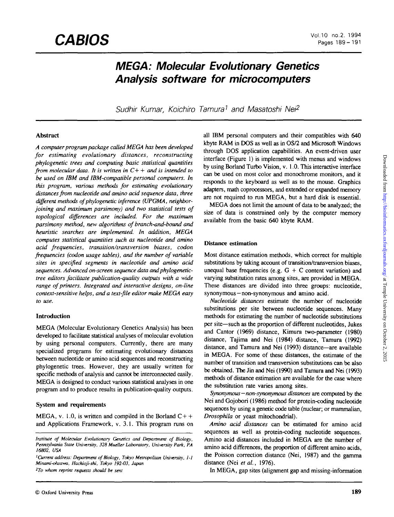# **MEGA: Molecular Evolutionary Genetics Analysis software for microcomputers**

Sudhir Kumar, Koichiro Tamura<sup>1</sup> and Masatoshi Nei<sup>2</sup>

# **Abstract**

*A computer program package called MEGA has been developed for estimating evolutionary distances, reconstructing phylogenetic trees and computing basic statistical quantities from molecular data. It is written in C+* + *and is intended to be used on IBM and IBM-compatible personal computers. In this program, various methods for estimating evolutionary distances from nucleotide and amino acid sequence data, three different methods of phylogenetic inference (UPGMA, neighborjoining and maximum parsimony) and two statistical tests of topological differences are included. For the maximum parsimony method, new algorithms of branch-and-bound and heuristic searches are implemented. In addition, MEGA computes statistical quantities such as nucleotide and amino acid frequencies, transition/transversion biases, codon frequencies (codon usage tables), and the number of variable sites in specified segments in nucleotide and amino acid sequences. Advanced on-screen sequence data and phylogenetictree editors facilitate publication-quality outputs with a wide range of printers. Integrated and interactive designs, on-line context-sensitive helps, and a text-file editor make MEGA easy to use.*

# **Introduction**

MEGA (Molecular Evolutionary Genetics Analysis) has been developed to facilitate statistical analyses of molecular evolution by using personal computers. Currently, there are many specialized programs for estimating evolutionary distances between nucleotide or amino acid sequences and reconstructing phylogenetic trees. However, they are usually written for specific methods of analysis and cannot be interconnected easily. MEGA is designed to conduct various statistical analyses in one program and to produce results in publication-quality outputs.

# **System and requirements**

MEGA, v. 1.0, is written and compiled in the Borland  $C++$ and Applications Framework, v. 3.1. This program runs on

*2 To whom reprint requests should be sent*

all IBM personal computers and their compatibles with 640 kbyte RAM in DOS as well as in OS/2 and Microsoft Windows through DOS application capabilities. An event-driven user interface (Figure 1) is implemented with menus and windows by using Borland Turbo Vision, v. 1.0. This interactive interface can be used on most color and monochrome monitors, and it responds to the keyboard as well as to the mouse. Graphics adapters, math coprocessors, and extended or expanded memory are not required to run MEGA, but a hard disk is essential.

MEGA does not limit the amount of data to be analyzed; the size of data is constrained only by the computer memory available from the basic 640 kbyte **RAM.**

# **Distance estimation**

Most distance estimation methods, which correct for multiple substitutions by taking account of transition/transversion biases, unequal base frequencies (e.g.  $G + C$  content variation) and varying substitution rates among sites, are provided in MEGA. These distances are divided into three groups: nucleotide, synonymous — non-synonymous and amino acid.

*Nucleotide distances* estimate the number of nucleotide substitutions per site between nucleotide sequences. Many methods for estimating the number of nucleotide substitutions per site—such as the proportion of different nucleotides, Jukes and Cantor (1969) distance, Kimura two-parameter (1980) distance, Tajima and Nei (1984) distance, Tamura (1992) distance, and Tamura and Nei (1993) distance—are available in MEGA. For some of these distances, the estimate of the number of transition and transversion substitutions can be also be obtained. The Jin and Nei (1990) and Tamura and Nei (1993) methods of distance estimation are available for the case where the substitution rate varies among sites.

*Synonymous—non-synonymous distances* are computed by the Nei and Gojobori (1986) method for protein-coding nucleotide sequences by using a genetic code table (nuclear; or mammalian, *Drosophila* or yeast mitochondrial).

*Amino acid distances* can be estimated for amino acid sequences as well as protein-coding nucleotide sequences. Amino acid distances included in MEGA are the number of amino acid differences, the proportion of different amino acids, the Poisson correction distance (Nei, 1987) and the gamma distance (Nei *et al.,* 1976).

In MEGA, gap sites (alignment gap and missing-information

*Institute of Molecular Evolutionary Genetics and Department of Biology, Pennsylvania State University, 328 Mueller Laboratory, University Park, PA 16802, USA*

*<sup>&#</sup>x27;Current address: Department of Biology, Tokyo Metropolitan University, I-l Minami-ohsawa, Hachioji-shi, Tokyo 192-03, Japan*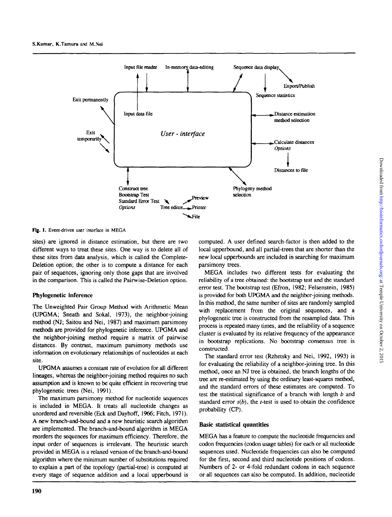

Fig. 1. Event-driven user interface in MEGA

sites) are ignored in distance estimation, but there are two different ways to treat these sites. One way is to delete all of these sites from data analysis, which is called the Complete-Deletion option; the other is to compute a distance for each pair of sequences, ignoring only those gaps that are involved in the comparison. This is called the Pairwise-Deletion option.

## **Phylogenetic inference**

The Unweighted Pair Group Method with Arithmetic Mean (UPGMA; Sneath and Sokal, 1973), the neighbor-joining method (NJ; Saitou and Nei, 1987) and maximum parsimony methods are provided for phylogenetic inference. UPGMA and the neighbor-joining method require a matrix of pairwise distances. By contrast, maximum parsimony methods use information on evolutionary relationships of nucleotides at each site.

UPGMA assumes a constant rate of evolution for all different lineages, whereas the neighbor-joining method requires no such assumption and is known to be quite efficient in recovering true phylogenetic trees (Nei, 1991).

The maximum parsimony method for nucleotide sequences is included in MEGA. It treats all nucleotide changes as unordered and reversible (Eck and Dayhoff, 1966; Fitch, 1971). A new branch-and-bound and a new heuristic search algorithm are implemented. The branch-and-bound algorithm in MEGA reorders the sequences for maximum efficiency. Therefore, the input order of sequences is irrelevant. The heuristic search provided in MEGA is a relaxed version of the branch-and-bound algorithm where the minimum number of substitutions required to explain a part of the topology (partial-tree) is computed at every stage of sequence addition and a local upperbound is computed. A user defined search-factor is then added to the local upperbound, and all partial-trees that are shorter than the new local upperbounds are included in searching for maximum parsimony trees.

MEGA includes two different tests for evaluating the reliability of a tree obtained: the bootstrap test and the standard error test. The bootstrap test (Efton, 1982; Felsenstein, 1985) is provided for both UPGMA and the neighbor-joining methods. In this method, the same number of sites are randomly sampled with replacement from the original sequences, and a phylogenetic tree is constructed from the resampled data. This process is repeated many times, and the reliability of a sequence cluster is evaluated by its relative frequency of the appearance in bootstrap replications. No bootstrap consensus tree is constructed.

The standard error test (Rzhetsky and Nei, 1992, 1993) is for evaluating the reliability of a neighbor-joining tree. In this method, once an NJ tree is obtained, the branch lengths of the tree are re-estimated by using the ordinary least-squares method, and the standard errors of these estimates are computed. To test the statistical significance of a branch with length *b* and standard error  $s(b)$ , the *t*-test is used to obtain the confidence probability (CP).

## **Basic statistical quantities**

MEGA has a feature to compute the nucleotide frequencies and codon frequencies (codon usage tables) for each or all nucleotide sequences used. Nucleotide frequencies can also be computed for the first, second and third nucleotide positions of codons. Numbers of 2- or 4-fold redundant codons in each sequence or all sequences can also be computed. In addition, nucleotide